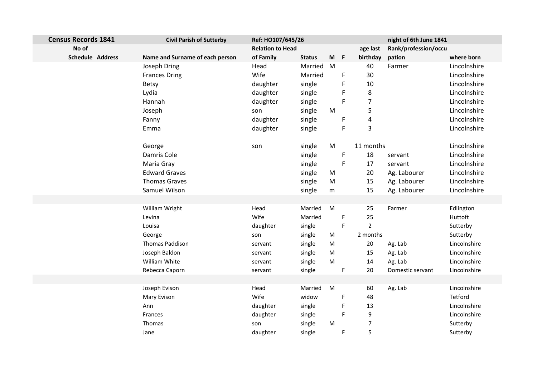| <b>Census Records 1841</b> | <b>Civil Parish of Sutterby</b> | Ref: HO107/645/26       |               |           |                               | night of 6th June 1841 |              |
|----------------------------|---------------------------------|-------------------------|---------------|-----------|-------------------------------|------------------------|--------------|
| No of                      |                                 | <b>Relation to Head</b> |               |           | age last                      | Rank/profession/occu   |              |
| <b>Schedule Address</b>    | Name and Surname of each person | of Family               | <b>Status</b> | $M$ F     | birthday                      | pation                 | where born   |
|                            | Joseph Dring                    | Head                    | Married M     |           | 40                            | Farmer                 | Lincolnshire |
|                            | <b>Frances Dring</b>            | Wife                    | Married       |           | 30<br>$\mathsf F$             |                        | Lincolnshire |
|                            | <b>Betsy</b>                    | daughter                | single        |           | 10<br>F                       |                        | Lincolnshire |
|                            | Lydia                           | daughter                | single        |           | $\bf 8$<br>F                  |                        | Lincolnshire |
|                            | Hannah                          | daughter                | single        |           | F<br>7                        |                        | Lincolnshire |
|                            | Joseph                          | son                     | single        | M         | 5                             |                        | Lincolnshire |
|                            | Fanny                           | daughter                | single        |           | F<br>4                        |                        | Lincolnshire |
|                            | Emma                            | daughter                | single        |           | 3<br>F                        |                        | Lincolnshire |
|                            |                                 |                         |               |           |                               |                        |              |
|                            | George                          | son                     | single        | M         | 11 months                     |                        | Lincolnshire |
|                            | Damris Cole                     |                         | single        |           | 18<br>F                       | servant                | Lincolnshire |
|                            | Maria Gray                      |                         | single        |           | $\mathsf F$<br>17             | servant                | Lincolnshire |
|                            | <b>Edward Graves</b>            |                         | single        | M         | 20                            | Ag. Labourer           | Lincolnshire |
|                            | <b>Thomas Graves</b>            |                         | single        | M         | 15                            | Ag. Labourer           | Lincolnshire |
|                            | Samuel Wilson                   |                         | single        | ${\sf m}$ | 15                            | Ag. Labourer           | Lincolnshire |
|                            |                                 |                         |               |           |                               |                        |              |
|                            | William Wright                  | Head                    | Married       | M         | 25                            | Farmer                 | Edlington    |
|                            | Levina                          | Wife                    | Married       |           | 25<br>F                       |                        | Huttoft      |
|                            | Louisa                          | daughter                | single        |           | $\mathsf F$<br>$\overline{2}$ |                        | Sutterby     |
|                            | George                          | son                     | single        | M         | 2 months                      |                        | Sutterby     |
|                            | <b>Thomas Paddison</b>          | servant                 | single        | M         | 20                            | Ag. Lab                | Lincolnshire |
|                            | Joseph Baldon                   | servant                 | single        | M         | 15                            | Ag. Lab                | Lincolnshire |
|                            | William White                   | servant                 | single        | M         | 14                            | Ag. Lab                | Lincolnshire |
|                            | Rebecca Caporn                  | servant                 | single        |           | $\mathsf F$<br>20             | Domestic servant       | Lincolnshire |
|                            |                                 |                         |               |           |                               |                        |              |
|                            | Joseph Evison                   | Head                    | Married       | M         | 60                            | Ag. Lab                | Lincolnshire |
|                            | Mary Evison                     | Wife                    | widow         |           | F<br>48                       |                        | Tetford      |
|                            | Ann                             | daughter                | single        |           | F<br>13                       |                        | Lincolnshire |
|                            | Frances                         | daughter                | single        |           | F<br>9                        |                        | Lincolnshire |
|                            | Thomas                          | son                     | single        | M         | $\overline{7}$                |                        | Sutterby     |
|                            | Jane                            | daughter                | single        |           | F<br>$\overline{5}$           |                        | Sutterby     |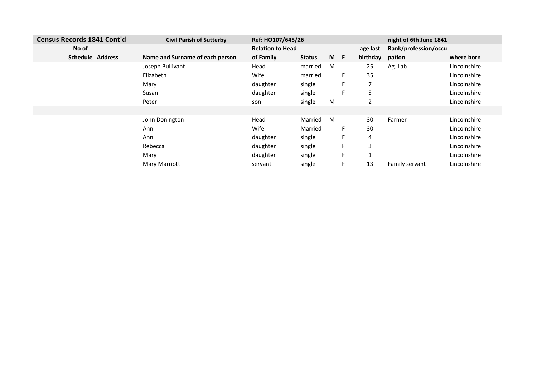| Census Records 1841 Cont'd | <b>Civil Parish of Sutterby</b> | Ref: HO107/645/26       |               |     |    |          | night of 6th June 1841 |              |
|----------------------------|---------------------------------|-------------------------|---------------|-----|----|----------|------------------------|--------------|
| No of                      |                                 | <b>Relation to Head</b> |               |     |    | age last | Rank/profession/occu   |              |
| <b>Schedule Address</b>    | Name and Surname of each person | of Family               | <b>Status</b> | M F |    | birthday | pation                 | where born   |
|                            | Joseph Bullivant                | Head                    | married       | M   |    | 25       | Ag. Lab                | Lincolnshire |
|                            | Elizabeth                       | Wife                    | married       |     | F. | 35       |                        | Lincolnshire |
|                            | Mary                            | daughter                | single        |     | F  | 7        |                        | Lincolnshire |
|                            | Susan                           | daughter                | single        |     | F  | 5        |                        | Lincolnshire |
|                            | Peter                           | son                     | single        | M   |    | 2        |                        | Lincolnshire |
|                            |                                 |                         |               |     |    |          |                        |              |
|                            | John Donington                  | Head                    | Married       | M   |    | 30       | Farmer                 | Lincolnshire |
|                            | Ann                             | Wife                    | Married       |     | F  | 30       |                        | Lincolnshire |
|                            | Ann                             | daughter                | single        |     | F  | 4        |                        | Lincolnshire |
|                            | Rebecca                         | daughter                | single        |     | F  | 3        |                        | Lincolnshire |
|                            | Mary                            | daughter                | single        |     | F  |          |                        | Lincolnshire |
|                            | <b>Mary Marriott</b>            | servant                 | single        |     | F. | 13       | Family servant         | Lincolnshire |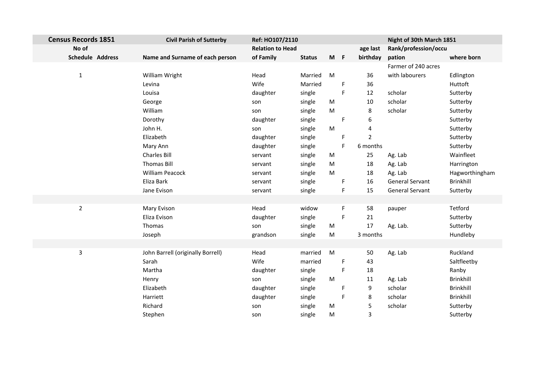| <b>Census Records 1851</b> | <b>Civil Parish of Sutterby</b>   | Ref: HO107/2110         |               |       |    |                | Night of 30th March 1851 |                  |
|----------------------------|-----------------------------------|-------------------------|---------------|-------|----|----------------|--------------------------|------------------|
| No of                      |                                   | <b>Relation to Head</b> |               |       |    | age last       | Rank/profession/occu     |                  |
| <b>Schedule Address</b>    | Name and Surname of each person   | of Family               | <b>Status</b> | $M$ F |    | birthday       | pation                   | where born       |
|                            |                                   |                         |               |       |    |                | Farmer of 240 acres      |                  |
| $\mathbf{1}$               | William Wright                    | Head                    | Married       | M     |    | 36             | with labourers           | Edlington        |
|                            | Levina                            | Wife                    | Married       |       | F  | 36             |                          | Huttoft          |
|                            | Louisa                            | daughter                | single        |       | F  | 12             | scholar                  | Sutterby         |
|                            | George                            | son                     | single        | M     |    | 10             | scholar                  | Sutterby         |
|                            | William                           | son                     | single        | M     |    | 8              | scholar                  | Sutterby         |
|                            | Dorothy                           | daughter                | single        |       | F  | 6              |                          | Sutterby         |
|                            | John H.                           | son                     | single        | M     |    | 4              |                          | Sutterby         |
|                            | Elizabeth                         | daughter                | single        |       | F  | $\overline{2}$ |                          | Sutterby         |
|                            | Mary Ann                          | daughter                | single        |       | F. | 6 months       |                          | Sutterby         |
|                            | Charles Bill                      | servant                 | single        | M     |    | 25             | Ag. Lab                  | Wainfleet        |
|                            | <b>Thomas Bill</b>                | servant                 | single        | M     |    | 18             | Ag. Lab                  | Harrington       |
|                            | <b>William Peacock</b>            | servant                 | single        | M     |    | 18             | Ag. Lab                  | Hagworthingham   |
|                            | Eliza Bark                        | servant                 | single        |       | F  | 16             | General Servant          | Brinkhill        |
|                            | Jane Evison                       | servant                 | single        |       | F. | 15             | General Servant          | Sutterby         |
|                            |                                   |                         |               |       |    |                |                          |                  |
| $\overline{2}$             | Mary Evison                       | Head                    | widow         |       | F  | 58             | pauper                   | Tetford          |
|                            | Eliza Evison                      | daughter                | single        |       | F. | 21             |                          | Sutterby         |
|                            | Thomas                            | son                     | single        | M     |    | 17             | Ag. Lab.                 | Sutterby         |
|                            | Joseph                            | grandson                | single        | M     |    | 3 months       |                          | Hundleby         |
|                            |                                   |                         |               |       |    |                |                          |                  |
| $\overline{3}$             | John Barrell (originally Borrell) | Head                    | married       | M     |    | 50             | Ag. Lab                  | Ruckland         |
|                            | Sarah                             | Wife                    | married       |       | F. | 43             |                          | Saltfleetby      |
|                            | Martha                            | daughter                | single        |       | F. | 18             |                          | Ranby            |
|                            | Henry                             | son                     | single        | M     |    | 11             | Ag. Lab                  | <b>Brinkhill</b> |
|                            | Elizabeth                         | daughter                | single        |       | F  | 9              | scholar                  | <b>Brinkhill</b> |
|                            | Harriett                          | daughter                | single        |       | F  | 8              | scholar                  | Brinkhill        |
|                            | Richard                           | son                     | single        | M     |    | 5              | scholar                  | Sutterby         |
|                            | Stephen                           | son                     | single        | M     |    | $\overline{3}$ |                          | Sutterby         |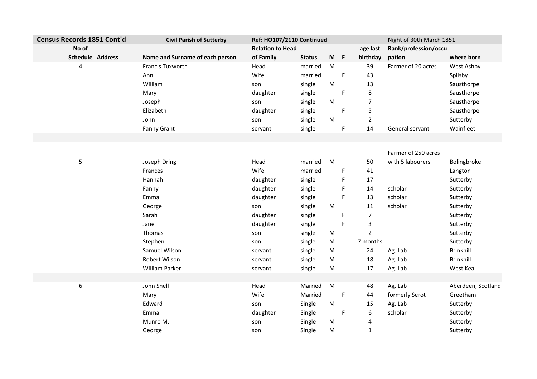| <b>Census Records 1851 Cont'd</b> | <b>Civil Parish of Sutterby</b> | Ref: HO107/2110 Continued |               |       |             |                | Night of 30th March 1851 |                    |
|-----------------------------------|---------------------------------|---------------------------|---------------|-------|-------------|----------------|--------------------------|--------------------|
| No of                             |                                 | <b>Relation to Head</b>   |               |       |             | age last       | Rank/profession/occu     |                    |
| Schedule Address                  | Name and Surname of each person | of Family                 | <b>Status</b> | $M$ F |             | birthday       | pation                   | where born         |
| 4                                 | <b>Francis Tuxworth</b>         | Head                      | married       | M     |             | 39             | Farmer of 20 acres       | West Ashby         |
|                                   | Ann                             | Wife                      | married       |       | $\mathsf F$ | 43             |                          | Spilsby            |
|                                   | William                         | son                       | single        | M     |             | 13             |                          | Sausthorpe         |
|                                   | Mary                            | daughter                  | single        |       | F           | 8              |                          | Sausthorpe         |
|                                   | Joseph                          | son                       | single        | M     |             | $\overline{7}$ |                          | Sausthorpe         |
|                                   | Elizabeth                       | daughter                  | single        |       | F           | 5              |                          | Sausthorpe         |
|                                   | John                            | son                       | single        | M     |             | $\overline{2}$ |                          | Sutterby           |
|                                   | <b>Fanny Grant</b>              | servant                   | single        |       | F           | 14             | General servant          | Wainfleet          |
|                                   |                                 |                           |               |       |             |                |                          |                    |
|                                   |                                 |                           |               |       |             |                |                          |                    |
|                                   |                                 |                           |               |       |             |                | Farmer of 250 acres      |                    |
| 5                                 | Joseph Dring                    | Head                      | married       | M     |             | 50             | with 5 labourers         | Bolingbroke        |
|                                   | Frances                         | Wife                      | married       |       | F           | 41             |                          | Langton            |
|                                   | Hannah                          | daughter                  | single        |       | F           | 17             |                          | Sutterby           |
|                                   | Fanny                           | daughter                  | single        |       | F           | 14             | scholar                  | Sutterby           |
|                                   | Emma                            | daughter                  | single        |       | F           | 13             | scholar                  | Sutterby           |
|                                   | George                          | son                       | single        | M     |             | 11             | scholar                  | Sutterby           |
|                                   | Sarah                           | daughter                  | single        |       | F           | 7              |                          | Sutterby           |
|                                   | Jane                            | daughter                  | single        |       | F           | 3              |                          | Sutterby           |
|                                   | Thomas                          | son                       | single        | M     |             | $\overline{2}$ |                          | Sutterby           |
|                                   | Stephen                         | son                       | single        | M     |             | 7 months       |                          | Sutterby           |
|                                   | Samuel Wilson                   | servant                   | single        | M     |             | 24             | Ag. Lab                  | <b>Brinkhill</b>   |
|                                   | Robert Wilson                   | servant                   | single        | M     |             | 18             | Ag. Lab                  | <b>Brinkhill</b>   |
|                                   | William Parker                  | servant                   | single        | M     |             | 17             | Ag. Lab                  | West Keal          |
| $\boldsymbol{6}$                  | John Snell                      | Head                      | Married       | M     |             | 48             | Ag. Lab                  | Aberdeen, Scotland |
|                                   |                                 | Wife                      | Married       |       | $\mathsf F$ | 44             | formerly Serot           | Greetham           |
|                                   | Mary<br>Edward                  |                           |               | M     |             | 15             |                          |                    |
|                                   |                                 | son                       | Single        |       | F           | 6              | Ag. Lab<br>scholar       | Sutterby           |
|                                   | Emma                            | daughter                  | Single        |       |             |                |                          | Sutterby           |
|                                   | Munro M.                        | son                       | Single        | M     |             | 4              |                          | Sutterby           |
|                                   | George                          | son                       | Single        | M     |             | $\mathbf{1}$   |                          | Sutterby           |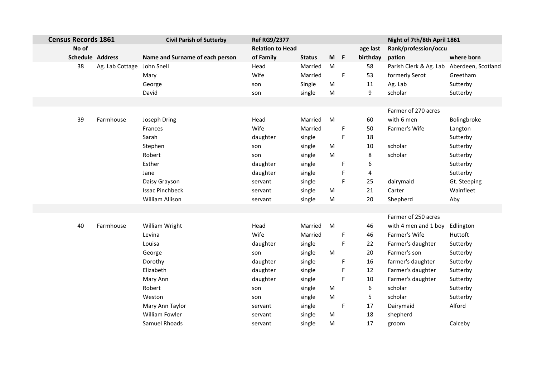| <b>Census Records 1861</b> |                 | <b>Civil Parish of Sutterby</b> | <b>Ref RG9/2377</b>     |               |           |             |          | Night of 7th/8th April 1861 |                    |
|----------------------------|-----------------|---------------------------------|-------------------------|---------------|-----------|-------------|----------|-----------------------------|--------------------|
| No of                      |                 |                                 | <b>Relation to Head</b> |               |           |             | age last | Rank/profession/occu        |                    |
| <b>Schedule Address</b>    |                 | Name and Surname of each person | of Family               | <b>Status</b> | M         | F           | birthday | pation                      | where born         |
| 38                         | Ag. Lab Cottage | John Snell                      | Head                    | Married       | ${\sf M}$ |             | 58       | Parish Clerk & Ag. Lab      | Aberdeen, Scotland |
|                            |                 | Mary                            | Wife                    | Married       |           | F           | 53       | formerly Serot              | Greetham           |
|                            |                 | George                          | son                     | Single        | ${\sf M}$ |             | 11       | Ag. Lab                     | Sutterby           |
|                            |                 | David                           | son                     | single        | ${\sf M}$ |             | 9        | scholar                     | Sutterby           |
|                            |                 |                                 |                         |               |           |             |          |                             |                    |
|                            |                 |                                 |                         |               |           |             |          | Farmer of 270 acres         |                    |
| 39                         | Farmhouse       | Joseph Dring                    | Head                    | Married       | M         |             | 60       | with 6 men                  | Bolingbroke        |
|                            |                 | Frances                         | Wife                    | Married       |           | F           | 50       | Farmer's Wife               | Langton            |
|                            |                 | Sarah                           | daughter                | single        |           | F           | 18       |                             | Sutterby           |
|                            |                 | Stephen                         | son                     | single        | M         |             | $10\,$   | scholar                     | Sutterby           |
|                            |                 | Robert                          | son                     | single        | M         |             | 8        | scholar                     | Sutterby           |
|                            |                 | Esther                          | daughter                | single        |           | F           | 6        |                             | Sutterby           |
|                            |                 | Jane                            | daughter                | single        |           | F           | 4        |                             | Sutterby           |
|                            |                 | Daisy Grayson                   | servant                 | single        |           | F           | 25       | dairymaid                   | Gt. Steeping       |
|                            |                 | <b>Issac Pinchbeck</b>          | servant                 | single        | M         |             | 21       | Carter                      | Wainfleet          |
|                            |                 | William Allison                 | servant                 | single        | ${\sf M}$ |             | 20       | Shepherd                    | Aby                |
|                            |                 |                                 |                         |               |           |             |          |                             |                    |
|                            |                 |                                 |                         |               |           |             |          | Farmer of 250 acres         |                    |
| 40                         | Farmhouse       | William Wright                  | Head                    | Married       | M         |             | 46       | with 4 men and 1 boy        | Edlington          |
|                            |                 | Levina                          | Wife                    | Married       |           | F           | 46       | Farmer's Wife               | Huttoft            |
|                            |                 | Louisa                          | daughter                | single        |           | F           | 22       | Farmer's daughter           | Sutterby           |
|                            |                 | George                          | son                     | single        | M         |             | 20       | Farmer's son                | Sutterby           |
|                            |                 | Dorothy                         | daughter                | single        |           | F           | 16       | farmer's daughter           | Sutterby           |
|                            |                 | Elizabeth                       | daughter                | single        |           | F           | 12       | Farmer's daughter           | Sutterby           |
|                            |                 | Mary Ann                        | daughter                | single        |           | F           | 10       | Farmer's daughter           | Sutterby           |
|                            |                 | Robert                          | son                     | single        | M         |             | 6        | scholar                     | Sutterby           |
|                            |                 | Weston                          | son                     | single        | ${\sf M}$ |             | 5        | scholar                     | Sutterby           |
|                            |                 | Mary Ann Taylor                 | servant                 | single        |           | $\mathsf F$ | 17       | Dairymaid                   | Alford             |
|                            |                 | William Fowler                  | servant                 | single        | M         |             | 18       | shepherd                    |                    |
|                            |                 | Samuel Rhoads                   | servant                 | single        | M         |             | 17       | groom                       | Calceby            |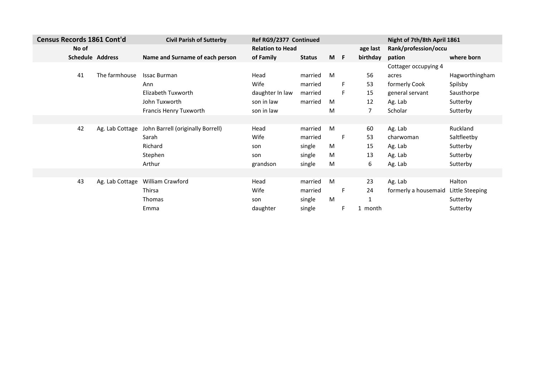| <b>Census Records 1861 Cont'd</b> |                 | <b>Civil Parish of Sutterby</b>   | Ref RG9/2377 Continued  |               |     |    |          | Night of 7th/8th April 1861 |                 |
|-----------------------------------|-----------------|-----------------------------------|-------------------------|---------------|-----|----|----------|-----------------------------|-----------------|
| No of                             |                 |                                   | <b>Relation to Head</b> |               |     |    | age last | Rank/profession/occu        |                 |
| <b>Schedule Address</b>           |                 | Name and Surname of each person   | of Family               | <b>Status</b> | M F |    | birthday | pation                      | where born      |
|                                   |                 |                                   |                         |               |     |    |          | Cottager occupying 4        |                 |
| 41                                | The farmhouse   | <b>Issac Burman</b>               | Head                    | married       | M   |    | 56       | acres                       | Hagworthingham  |
|                                   |                 | Ann                               | Wife                    | married       |     | F. | 53       | formerly Cook               | Spilsby         |
|                                   |                 | Elizabeth Tuxworth                | daughter In law         | married       |     | F. | 15       | general servant             | Sausthorpe      |
|                                   |                 | John Tuxworth                     | son in law              | married       | M   |    | 12       | Ag. Lab                     | Sutterby        |
|                                   |                 | Francis Henry Tuxworth            | son in law              |               | M   |    | 7        | Scholar                     | Sutterby        |
|                                   |                 |                                   |                         |               |     |    |          |                             |                 |
| 42                                | Ag. Lab Cottage | John Barrell (originally Borrell) | Head                    | married       | M   |    | 60       | Ag. Lab                     | Ruckland        |
|                                   |                 | Sarah                             | Wife                    | married       |     | F. | 53       | charwoman                   | Saltfleetby     |
|                                   |                 | Richard                           | son                     | single        | M   |    | 15       | Ag. Lab                     | Sutterby        |
|                                   |                 | Stephen                           | son                     | single        | M   |    | 13       | Ag. Lab                     | Sutterby        |
|                                   |                 | Arthur                            | grandson                | single        | M   |    | 6        | Ag. Lab                     | Sutterby        |
|                                   |                 |                                   |                         |               |     |    |          |                             |                 |
| 43                                | Ag. Lab Cottage | William Crawford                  | Head                    | married       | M   |    | 23       | Ag. Lab                     | Halton          |
|                                   |                 | Thirsa                            | Wife                    | married       |     | F. | 24       | formerly a housemaid        | Little Steeping |
|                                   |                 | Thomas                            | son                     | single        | M   |    |          |                             | Sutterby        |
|                                   |                 | Emma                              | daughter                | single        |     | F  | 1 month  |                             | Sutterby        |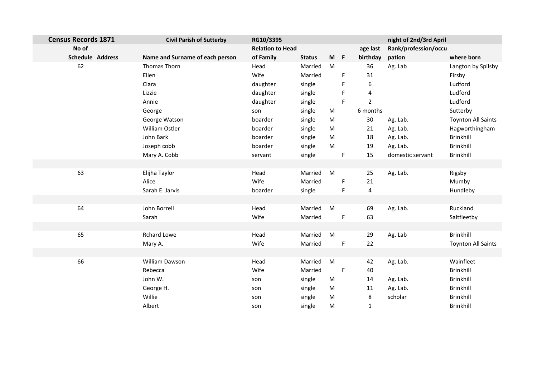| <b>Census Records 1871</b> | <b>Civil Parish of Sutterby</b> | RG10/3395               |               |       |             |                         | night of 2nd/3rd April |                           |
|----------------------------|---------------------------------|-------------------------|---------------|-------|-------------|-------------------------|------------------------|---------------------------|
| No of                      |                                 | <b>Relation to Head</b> |               |       |             | age last                | Rank/profession/occu   |                           |
| <b>Schedule Address</b>    | Name and Surname of each person | of Family               | <b>Status</b> | $M$ F |             | birthday                | pation                 | where born                |
| 62                         | Thomas Thorn                    | Head                    | Married       | M     |             | 36                      | Ag. Lab                | Langton by Spilsby        |
|                            | Ellen                           | Wife                    | Married       |       | F           | 31                      |                        | Firsby                    |
|                            | Clara                           | daughter                | single        |       | F           | 6                       |                        | Ludford                   |
|                            | Lizzie                          | daughter                | single        |       | F           | 4                       |                        | Ludford                   |
|                            | Annie                           | daughter                | single        |       | F           | $\overline{2}$          |                        | Ludford                   |
|                            | George                          | son                     | single        | M     |             | 6 months                |                        | Sutterby                  |
|                            | George Watson                   | boarder                 | single        | M     |             | 30                      | Ag. Lab.               | <b>Toynton All Saints</b> |
|                            | William Ostler                  | boarder                 | single        | M     |             | 21                      | Ag. Lab.               | Hagworthingham            |
|                            | John Bark                       | boarder                 | single        | M     |             | 18                      | Ag. Lab.               | Brinkhill                 |
|                            | Joseph cobb                     | boarder                 | single        | M     |             | 19                      | Ag. Lab.               | Brinkhill                 |
|                            | Mary A. Cobb                    | servant                 | single        |       | F           | 15                      | domestic servant       | Brinkhill                 |
|                            |                                 |                         |               |       |             |                         |                        |                           |
| 63                         | Elijha Taylor                   | Head                    | Married       | M     |             | 25                      | Ag. Lab.               | Rigsby                    |
|                            | Alice                           | Wife                    | Married       |       | $\mathsf F$ | 21                      |                        | Mumby                     |
|                            | Sarah E. Jarvis                 | boarder                 | single        |       | F           | $\overline{\mathbf{4}}$ |                        | Hundleby                  |
|                            |                                 |                         |               |       |             |                         |                        |                           |
| 64                         | John Borrell                    | Head                    | Married       | M     |             | 69                      | Ag. Lab.               | Ruckland                  |
|                            | Sarah                           | Wife                    | Married       |       | F           | 63                      |                        | Saltfleetby               |
|                            |                                 |                         |               |       |             |                         |                        |                           |
| 65                         | <b>Rchard Lowe</b>              | Head                    | Married       | M     |             | 29                      | Ag. Lab                | <b>Brinkhill</b>          |
|                            | Mary A.                         | Wife                    | Married       |       | F           | 22                      |                        | <b>Toynton All Saints</b> |
|                            |                                 |                         |               |       |             |                         |                        |                           |
| 66                         | William Dawson                  | Head                    | Married       | M     |             | 42                      | Ag. Lab.               | Wainfleet                 |
|                            | Rebecca                         | Wife                    | Married       |       | F           | 40                      |                        | Brinkhill                 |
|                            | John W.                         | son                     | single        | M     |             | 14                      | Ag. Lab.               | Brinkhill                 |
|                            | George H.                       | son                     | single        | M     |             | $11\,$                  | Ag. Lab.               | Brinkhill                 |
|                            | Willie                          | son                     | single        | M     |             | 8                       | scholar                | Brinkhill                 |
|                            | Albert                          | son                     | single        | M     |             | $\mathbf{1}$            |                        | Brinkhill                 |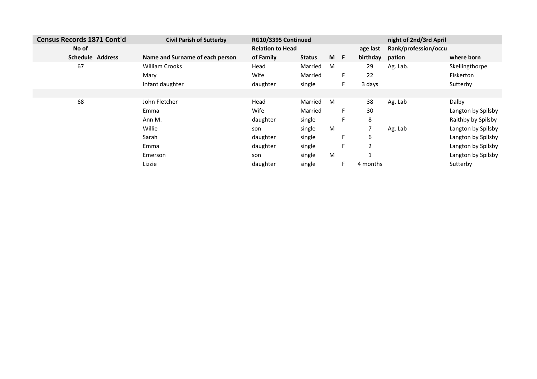| Census Records 1871 Cont'd | <b>Civil Parish of Sutterby</b> | RG10/3395 Continued     |               |     |   |          | night of 2nd/3rd April |                    |
|----------------------------|---------------------------------|-------------------------|---------------|-----|---|----------|------------------------|--------------------|
| No of                      |                                 | <b>Relation to Head</b> |               |     |   | age last | Rank/profession/occu   |                    |
| <b>Schedule Address</b>    | Name and Surname of each person | of Family               | <b>Status</b> | M F |   | birthday | pation                 | where born         |
| 67                         | <b>William Crooks</b>           | Head                    | Married       | M   |   | 29       | Ag. Lab.               | Skellingthorpe     |
|                            | Mary                            | Wife                    | Married       |     | F | 22       |                        | <b>Fiskerton</b>   |
|                            | Infant daughter                 | daughter                | single        |     |   | 3 days   |                        | Sutterby           |
|                            |                                 |                         |               |     |   |          |                        |                    |
| 68                         | John Fletcher                   | Head                    | Married       | M   |   | 38       | Ag. Lab                | Dalby              |
|                            | Emma                            | Wife                    | Married       |     | F | 30       |                        | Langton by Spilsby |
|                            | Ann M.                          | daughter                | single        |     |   | 8        |                        | Raithby by Spilsby |
|                            | Willie                          | son                     | single        | M   |   | 7        | Ag. Lab                | Langton by Spilsby |
|                            | Sarah                           | daughter                | single        |     |   | 6        |                        | Langton by Spilsby |
|                            | Emma                            | daughter                | single        |     |   | 2        |                        | Langton by Spilsby |
|                            | Emerson                         | son                     | single        | M   |   |          |                        | Langton by Spilsby |
|                            | Lizzie                          | daughter                | single        |     |   | 4 months |                        | Sutterby           |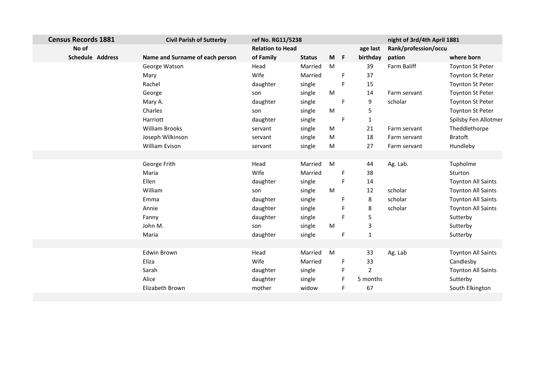| No of<br><b>Relation to Head</b><br>Rank/profession/occu<br>age last<br>Schedule Address<br>Name and Surname of each person<br>of Family<br>$M$ F<br>birthday<br>pation<br>where born<br><b>Status</b><br>M<br>Farm Baliff<br>Head<br>39<br>George Watson<br>Married<br><b>Toynton St Peter</b><br>Wife<br>Married<br>37<br>F<br><b>Toynton St Peter</b><br>Mary<br>Rachel<br>daughter<br>F<br>15<br><b>Toynton St Peter</b><br>single<br>single<br>M<br><b>Toynton St Peter</b><br>George<br>14<br>Farm servant<br>son<br>9<br>daughter<br>F<br>scholar<br>Mary A.<br>single<br><b>Toynton St Peter</b><br>Charles<br>M<br>5<br><b>Toynton St Peter</b><br>single<br>son<br>daughter<br>single<br>Harriott<br>F<br>$\mathbf{1}$<br><b>William Brooks</b><br>Theddlethorpe<br>single<br>M<br>21<br>Farm servant<br>servant<br><b>Bratoft</b><br>Joseph Wilkinson<br>single<br>M<br>18<br>Farm servant<br>servant<br>William Evison<br>M<br>Hundleby<br>single<br>27<br>servant<br>Farm servant<br>Head<br>Married<br>M<br>George Frith<br>44<br>Ag. Lab.<br>Tupholme<br>Wife<br>Maria<br>Married<br>38<br>F.<br>Sturton<br>Ellen<br>daughter<br>F<br>single<br><b>Toynton All Saints</b><br>14<br>William<br>single<br>${\sf M}$<br>scholar<br><b>Toynton All Saints</b><br>12<br>son<br>8<br>scholar<br><b>Toynton All Saints</b><br>Emma<br>daughter<br>single<br>F<br>8<br>scholar<br><b>Toynton All Saints</b><br>daughter<br>single<br>Annie<br>F<br>5<br>daughter<br>F<br>single<br>Sutterby<br>Fanny<br>John M.<br>single<br>M<br>3<br>Sutterby<br>son<br>$\mathbf{1}$<br>daughter<br>F<br>Maria<br>single<br>Sutterby<br>Edwin Brown<br>Head<br>M<br><b>Toynton All Saints</b><br>Married<br>33<br>Ag. Lab<br>Wife<br>Eliza<br>Married<br>33<br>Candlesby<br>F.<br>$\overline{2}$<br>F<br><b>Toynton All Saints</b><br>Sarah<br>daughter<br>single<br>Alice<br>5 months<br>daughter<br>single<br>F<br>Sutterby | <b>Census Records 1881</b> | <b>Civil Parish of Sutterby</b> | ref No. RG11/5238 |       |   |    | night of 3rd/4th April 1881 |                      |
|------------------------------------------------------------------------------------------------------------------------------------------------------------------------------------------------------------------------------------------------------------------------------------------------------------------------------------------------------------------------------------------------------------------------------------------------------------------------------------------------------------------------------------------------------------------------------------------------------------------------------------------------------------------------------------------------------------------------------------------------------------------------------------------------------------------------------------------------------------------------------------------------------------------------------------------------------------------------------------------------------------------------------------------------------------------------------------------------------------------------------------------------------------------------------------------------------------------------------------------------------------------------------------------------------------------------------------------------------------------------------------------------------------------------------------------------------------------------------------------------------------------------------------------------------------------------------------------------------------------------------------------------------------------------------------------------------------------------------------------------------------------------------------------------------------------------------------------------------------------------------------------------------------------------|----------------------------|---------------------------------|-------------------|-------|---|----|-----------------------------|----------------------|
|                                                                                                                                                                                                                                                                                                                                                                                                                                                                                                                                                                                                                                                                                                                                                                                                                                                                                                                                                                                                                                                                                                                                                                                                                                                                                                                                                                                                                                                                                                                                                                                                                                                                                                                                                                                                                                                                                                                        |                            |                                 |                   |       |   |    |                             |                      |
|                                                                                                                                                                                                                                                                                                                                                                                                                                                                                                                                                                                                                                                                                                                                                                                                                                                                                                                                                                                                                                                                                                                                                                                                                                                                                                                                                                                                                                                                                                                                                                                                                                                                                                                                                                                                                                                                                                                        |                            |                                 |                   |       |   |    |                             |                      |
|                                                                                                                                                                                                                                                                                                                                                                                                                                                                                                                                                                                                                                                                                                                                                                                                                                                                                                                                                                                                                                                                                                                                                                                                                                                                                                                                                                                                                                                                                                                                                                                                                                                                                                                                                                                                                                                                                                                        |                            |                                 |                   |       |   |    |                             |                      |
|                                                                                                                                                                                                                                                                                                                                                                                                                                                                                                                                                                                                                                                                                                                                                                                                                                                                                                                                                                                                                                                                                                                                                                                                                                                                                                                                                                                                                                                                                                                                                                                                                                                                                                                                                                                                                                                                                                                        |                            |                                 |                   |       |   |    |                             |                      |
|                                                                                                                                                                                                                                                                                                                                                                                                                                                                                                                                                                                                                                                                                                                                                                                                                                                                                                                                                                                                                                                                                                                                                                                                                                                                                                                                                                                                                                                                                                                                                                                                                                                                                                                                                                                                                                                                                                                        |                            |                                 |                   |       |   |    |                             |                      |
|                                                                                                                                                                                                                                                                                                                                                                                                                                                                                                                                                                                                                                                                                                                                                                                                                                                                                                                                                                                                                                                                                                                                                                                                                                                                                                                                                                                                                                                                                                                                                                                                                                                                                                                                                                                                                                                                                                                        |                            |                                 |                   |       |   |    |                             |                      |
|                                                                                                                                                                                                                                                                                                                                                                                                                                                                                                                                                                                                                                                                                                                                                                                                                                                                                                                                                                                                                                                                                                                                                                                                                                                                                                                                                                                                                                                                                                                                                                                                                                                                                                                                                                                                                                                                                                                        |                            |                                 |                   |       |   |    |                             |                      |
|                                                                                                                                                                                                                                                                                                                                                                                                                                                                                                                                                                                                                                                                                                                                                                                                                                                                                                                                                                                                                                                                                                                                                                                                                                                                                                                                                                                                                                                                                                                                                                                                                                                                                                                                                                                                                                                                                                                        |                            |                                 |                   |       |   |    |                             |                      |
|                                                                                                                                                                                                                                                                                                                                                                                                                                                                                                                                                                                                                                                                                                                                                                                                                                                                                                                                                                                                                                                                                                                                                                                                                                                                                                                                                                                                                                                                                                                                                                                                                                                                                                                                                                                                                                                                                                                        |                            |                                 |                   |       |   |    |                             | Spilsby Fen Allotmer |
|                                                                                                                                                                                                                                                                                                                                                                                                                                                                                                                                                                                                                                                                                                                                                                                                                                                                                                                                                                                                                                                                                                                                                                                                                                                                                                                                                                                                                                                                                                                                                                                                                                                                                                                                                                                                                                                                                                                        |                            |                                 |                   |       |   |    |                             |                      |
|                                                                                                                                                                                                                                                                                                                                                                                                                                                                                                                                                                                                                                                                                                                                                                                                                                                                                                                                                                                                                                                                                                                                                                                                                                                                                                                                                                                                                                                                                                                                                                                                                                                                                                                                                                                                                                                                                                                        |                            |                                 |                   |       |   |    |                             |                      |
|                                                                                                                                                                                                                                                                                                                                                                                                                                                                                                                                                                                                                                                                                                                                                                                                                                                                                                                                                                                                                                                                                                                                                                                                                                                                                                                                                                                                                                                                                                                                                                                                                                                                                                                                                                                                                                                                                                                        |                            |                                 |                   |       |   |    |                             |                      |
|                                                                                                                                                                                                                                                                                                                                                                                                                                                                                                                                                                                                                                                                                                                                                                                                                                                                                                                                                                                                                                                                                                                                                                                                                                                                                                                                                                                                                                                                                                                                                                                                                                                                                                                                                                                                                                                                                                                        |                            |                                 |                   |       |   |    |                             |                      |
|                                                                                                                                                                                                                                                                                                                                                                                                                                                                                                                                                                                                                                                                                                                                                                                                                                                                                                                                                                                                                                                                                                                                                                                                                                                                                                                                                                                                                                                                                                                                                                                                                                                                                                                                                                                                                                                                                                                        |                            |                                 |                   |       |   |    |                             |                      |
|                                                                                                                                                                                                                                                                                                                                                                                                                                                                                                                                                                                                                                                                                                                                                                                                                                                                                                                                                                                                                                                                                                                                                                                                                                                                                                                                                                                                                                                                                                                                                                                                                                                                                                                                                                                                                                                                                                                        |                            |                                 |                   |       |   |    |                             |                      |
|                                                                                                                                                                                                                                                                                                                                                                                                                                                                                                                                                                                                                                                                                                                                                                                                                                                                                                                                                                                                                                                                                                                                                                                                                                                                                                                                                                                                                                                                                                                                                                                                                                                                                                                                                                                                                                                                                                                        |                            |                                 |                   |       |   |    |                             |                      |
|                                                                                                                                                                                                                                                                                                                                                                                                                                                                                                                                                                                                                                                                                                                                                                                                                                                                                                                                                                                                                                                                                                                                                                                                                                                                                                                                                                                                                                                                                                                                                                                                                                                                                                                                                                                                                                                                                                                        |                            |                                 |                   |       |   |    |                             |                      |
|                                                                                                                                                                                                                                                                                                                                                                                                                                                                                                                                                                                                                                                                                                                                                                                                                                                                                                                                                                                                                                                                                                                                                                                                                                                                                                                                                                                                                                                                                                                                                                                                                                                                                                                                                                                                                                                                                                                        |                            |                                 |                   |       |   |    |                             |                      |
|                                                                                                                                                                                                                                                                                                                                                                                                                                                                                                                                                                                                                                                                                                                                                                                                                                                                                                                                                                                                                                                                                                                                                                                                                                                                                                                                                                                                                                                                                                                                                                                                                                                                                                                                                                                                                                                                                                                        |                            |                                 |                   |       |   |    |                             |                      |
|                                                                                                                                                                                                                                                                                                                                                                                                                                                                                                                                                                                                                                                                                                                                                                                                                                                                                                                                                                                                                                                                                                                                                                                                                                                                                                                                                                                                                                                                                                                                                                                                                                                                                                                                                                                                                                                                                                                        |                            |                                 |                   |       |   |    |                             |                      |
|                                                                                                                                                                                                                                                                                                                                                                                                                                                                                                                                                                                                                                                                                                                                                                                                                                                                                                                                                                                                                                                                                                                                                                                                                                                                                                                                                                                                                                                                                                                                                                                                                                                                                                                                                                                                                                                                                                                        |                            |                                 |                   |       |   |    |                             |                      |
|                                                                                                                                                                                                                                                                                                                                                                                                                                                                                                                                                                                                                                                                                                                                                                                                                                                                                                                                                                                                                                                                                                                                                                                                                                                                                                                                                                                                                                                                                                                                                                                                                                                                                                                                                                                                                                                                                                                        |                            |                                 |                   |       |   |    |                             |                      |
|                                                                                                                                                                                                                                                                                                                                                                                                                                                                                                                                                                                                                                                                                                                                                                                                                                                                                                                                                                                                                                                                                                                                                                                                                                                                                                                                                                                                                                                                                                                                                                                                                                                                                                                                                                                                                                                                                                                        |                            |                                 |                   |       |   |    |                             |                      |
|                                                                                                                                                                                                                                                                                                                                                                                                                                                                                                                                                                                                                                                                                                                                                                                                                                                                                                                                                                                                                                                                                                                                                                                                                                                                                                                                                                                                                                                                                                                                                                                                                                                                                                                                                                                                                                                                                                                        |                            |                                 |                   |       |   |    |                             |                      |
|                                                                                                                                                                                                                                                                                                                                                                                                                                                                                                                                                                                                                                                                                                                                                                                                                                                                                                                                                                                                                                                                                                                                                                                                                                                                                                                                                                                                                                                                                                                                                                                                                                                                                                                                                                                                                                                                                                                        |                            |                                 |                   |       |   |    |                             |                      |
|                                                                                                                                                                                                                                                                                                                                                                                                                                                                                                                                                                                                                                                                                                                                                                                                                                                                                                                                                                                                                                                                                                                                                                                                                                                                                                                                                                                                                                                                                                                                                                                                                                                                                                                                                                                                                                                                                                                        |                            |                                 |                   |       |   |    |                             |                      |
|                                                                                                                                                                                                                                                                                                                                                                                                                                                                                                                                                                                                                                                                                                                                                                                                                                                                                                                                                                                                                                                                                                                                                                                                                                                                                                                                                                                                                                                                                                                                                                                                                                                                                                                                                                                                                                                                                                                        |                            |                                 |                   |       |   |    |                             |                      |
|                                                                                                                                                                                                                                                                                                                                                                                                                                                                                                                                                                                                                                                                                                                                                                                                                                                                                                                                                                                                                                                                                                                                                                                                                                                                                                                                                                                                                                                                                                                                                                                                                                                                                                                                                                                                                                                                                                                        |                            | Elizabeth Brown                 | mother            | widow | F | 67 |                             | South Elkington      |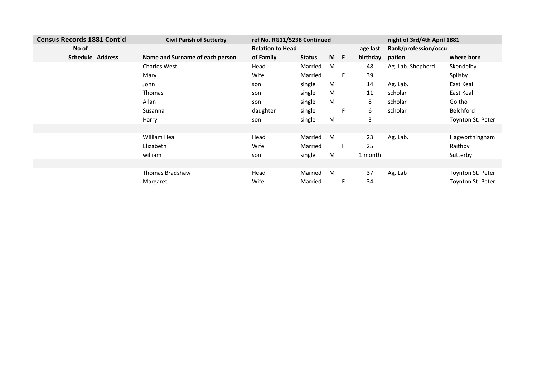| Census Records 1881 Cont'd | <b>Civil Parish of Sutterby</b> | ref No. RG11/5238 Continued |               |     |    |          | night of 3rd/4th April 1881 |                          |
|----------------------------|---------------------------------|-----------------------------|---------------|-----|----|----------|-----------------------------|--------------------------|
| No of                      |                                 | <b>Relation to Head</b>     |               |     |    | age last | Rank/profession/occu        |                          |
| <b>Schedule Address</b>    | Name and Surname of each person | of Family                   | <b>Status</b> | M F |    | birthday | pation                      | where born               |
|                            | <b>Charles West</b>             | Head                        | Married       | M   |    | 48       | Ag. Lab. Shepherd           | Skendelby                |
|                            | Mary                            | Wife                        | Married       |     | F. | 39       |                             | Spilsby                  |
|                            | John                            | son                         | single        | M   |    | 14       | Ag. Lab.                    | East Keal                |
|                            | Thomas                          | son                         | single        | M   |    | 11       | scholar                     | East Keal                |
|                            | Allan                           | son                         | single        | M   |    | 8        | scholar                     | Goltho                   |
|                            | Susanna                         | daughter                    | single        |     | F. | 6        | scholar                     | Belchford                |
|                            | Harry                           | son                         | single        | M   |    | 3        |                             | Toynton St. Peter        |
|                            |                                 |                             |               |     |    |          |                             |                          |
|                            | <b>William Heal</b>             | Head                        | Married       | M   |    | 23       | Ag. Lab.                    | Hagworthingham           |
|                            | Elizabeth                       | Wife                        | Married       |     | F. | 25       |                             | Raithby                  |
|                            | william                         | son                         | single        | M   |    | 1 month  |                             | Sutterby                 |
|                            |                                 |                             |               |     |    |          |                             |                          |
|                            | <b>Thomas Bradshaw</b>          | Head                        | Married       | M   |    | 37       | Ag. Lab                     | Toynton St. Peter        |
|                            | Margaret                        | Wife                        | Married       |     | F. | 34       |                             | <b>Toynton St. Peter</b> |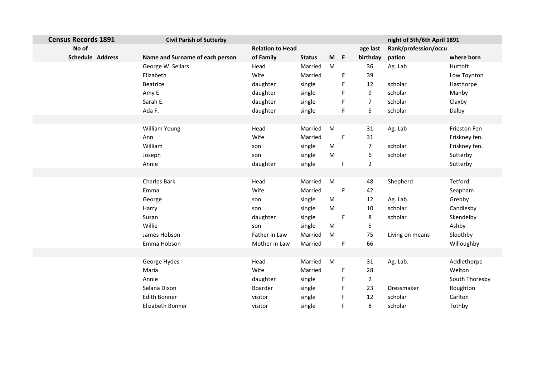| <b>Census Records 1891</b> | <b>Civil Parish of Sutterby</b> |                         |               |           |             |                | night of 5th/6th April 1891 |                |
|----------------------------|---------------------------------|-------------------------|---------------|-----------|-------------|----------------|-----------------------------|----------------|
| No of                      |                                 | <b>Relation to Head</b> |               |           |             | age last       | Rank/profession/occu        |                |
| <b>Schedule Address</b>    | Name and Surname of each person | of Family               | <b>Status</b> | $M$ F     |             | birthday       | pation                      | where born     |
|                            | George W. Sellars               | Head                    | Married       | M         |             | 36             | Ag. Lab                     | Huttoft        |
|                            | Elizabeth                       | Wife                    | Married       |           | F           | 39             |                             | Low Toynton    |
|                            | Beatrice                        | daughter                | single        |           | F           | 12             | scholar                     | Hasthorpe      |
|                            | Amy E.                          | daughter                | single        |           | F           | 9              | scholar                     | Manby          |
|                            | Sarah E.                        | daughter                | single        |           | F           | 7              | scholar                     | Claxby         |
|                            | Ada F.                          | daughter                | single        |           | F           | 5              | scholar                     | Dalby          |
|                            |                                 |                         |               |           |             |                |                             |                |
|                            | William Young                   | Head                    | Married       | M         |             | 31             | Ag. Lab                     | Frieston Fen   |
|                            | Ann                             | Wife                    | Married       |           | $\mathsf F$ | 31             |                             | Friskney fen.  |
|                            | William                         | son                     | single        | M         |             | 7              | scholar                     | Friskney fen.  |
|                            | Joseph                          | son                     | single        | M         |             | 6              | scholar                     | Sutterby       |
|                            | Annie                           | daughter                | single        |           | F           | $\overline{2}$ |                             | Sutterby       |
|                            |                                 |                         |               |           |             |                |                             |                |
|                            | <b>Charles Bark</b>             | Head                    | Married       | M         |             | 48             | Shepherd                    | Tetford        |
|                            | Emma                            | Wife                    | Married       |           | $\mathsf F$ | 42             |                             | Seapham        |
|                            | George                          | son                     | single        | ${\sf M}$ |             | 12             | Ag. Lab.                    | Grebby         |
|                            | Harry                           | son                     | single        | M         |             | 10             | scholar                     | Candlesby      |
|                            | Susan                           | daughter                | single        |           | F           | 8              | scholar                     | Skendelby      |
|                            | Willie                          | son                     | single        | M         |             | 5              |                             | Ashby          |
|                            | James Hobson                    | Father in Law           | Married       | ${\sf M}$ |             | 75             | Living on means             | Sloothby       |
|                            | Emma Hobson                     | Mother in Law           | Married       |           | F           | 66             |                             | Willoughby     |
|                            |                                 |                         |               |           |             |                |                             |                |
|                            | George Hydes                    | Head                    | Married       | M         |             | 31             | Ag. Lab.                    | Addlethorpe    |
|                            | Maria                           | Wife                    | Married       |           | F           | 28             |                             | Welton         |
|                            | Annie                           | daughter                | single        |           | F           | $\mathbf{2}$   |                             | South Thoresby |
|                            | Selana Dixon                    | Boarder                 | single        |           | F           | 23             | Dressmaker                  | Roughton       |
|                            | <b>Edith Bonner</b>             | visitor                 | single        |           | F           | 12             | scholar                     | Carlton        |
|                            | Elizabeth Bonner                | visitor                 | single        |           | F           | 8              | scholar                     | Tothby         |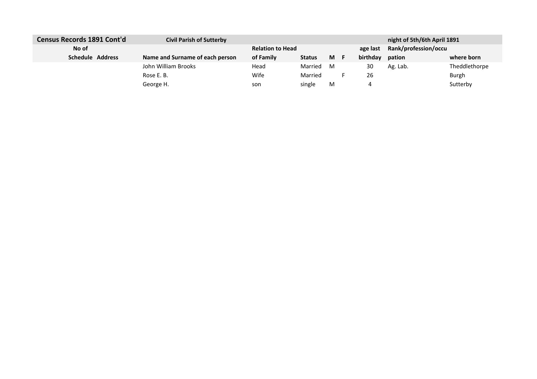| Census Records 1891 Cont'd | <b>Civil Parish of Sutterby</b> |                         |               |    |          | night of 5th/6th April 1891 |               |
|----------------------------|---------------------------------|-------------------------|---------------|----|----------|-----------------------------|---------------|
| No of                      |                                 | <b>Relation to Head</b> |               |    | age last | Rank/profession/occu        |               |
| Schedule Address           | Name and Surname of each person | of Family               | <b>Status</b> | M. | birthday | pation                      | where born    |
|                            | John William Brooks             | Head                    | Married       | м  | 30       | Ag. Lab.                    | Theddlethorpe |
|                            | Rose E. B.                      | Wife                    | Married       |    | 26       |                             | Burgh         |
|                            | George H.                       | son                     | single        | M  |          |                             | Sutterby      |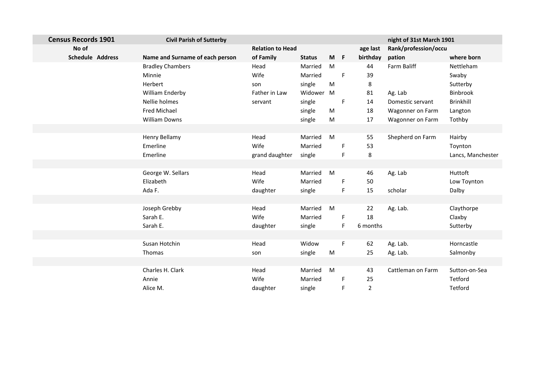| <b>Census Records 1901</b> | <b>Civil Parish of Sutterby</b> |                |                         |     |          |                      | night of 31st March 1901 |                   |
|----------------------------|---------------------------------|----------------|-------------------------|-----|----------|----------------------|--------------------------|-------------------|
| No of                      |                                 |                | <b>Relation to Head</b> |     | age last | Rank/profession/occu |                          |                   |
| Schedule Address           | Name and Surname of each person | of Family      | <b>Status</b>           | M F |          | birthday             | pation                   | where born        |
|                            | <b>Bradley Chambers</b>         | Head           | Married                 | M   |          | 44                   | Farm Baliff              | Nettleham         |
|                            | Minnie                          | Wife           | Married                 |     | F        | 39                   |                          | Swaby             |
|                            | Herbert                         | son            | single                  | M   |          | 8                    |                          | Sutterby          |
|                            | William Enderby                 | Father in Law  | Widower                 | M   |          | 81                   | Ag. Lab                  | Binbrook          |
|                            | Nellie holmes                   | servant        | single                  |     | F        | 14                   | Domestic servant         | <b>Brinkhill</b>  |
|                            | Fred Michael                    |                | single                  | M   |          | 18                   | Wagonner on Farm         | Langton           |
|                            | <b>William Downs</b>            |                | single                  | M   |          | 17                   | Wagonner on Farm         | Tothby            |
|                            |                                 |                |                         |     |          |                      |                          |                   |
|                            | Henry Bellamy                   | Head           | Married                 | M   |          | 55                   | Shepherd on Farm         | Hairby            |
|                            | Emerline                        | Wife           | Married                 |     | F.       | 53                   |                          | Toynton           |
|                            | Emerline                        | grand daughter | single                  |     | F        | 8                    |                          | Lancs, Manchester |
|                            |                                 |                |                         |     |          |                      |                          |                   |
|                            | George W. Sellars               | Head           | Married                 | M   |          | 46                   | Ag. Lab                  | Huttoft           |
|                            | Elizabeth                       | Wife           | Married                 |     | F        | 50                   |                          | Low Toynton       |
|                            | Ada F.                          | daughter       | single                  |     | F        | 15                   | scholar                  | Dalby             |
|                            |                                 |                |                         |     |          |                      |                          |                   |
|                            | Joseph Grebby                   | Head           | Married                 | M   |          | 22                   | Ag. Lab.                 | Claythorpe        |
|                            | Sarah E.                        | Wife           | Married                 |     | F.       | 18                   |                          | Claxby            |
|                            | Sarah E.                        | daughter       | single                  |     | F        | 6 months             |                          | Sutterby          |
|                            |                                 |                |                         |     |          |                      |                          |                   |
|                            | Susan Hotchin                   | Head           | Widow                   |     | F        | 62                   | Ag. Lab.                 | Horncastle        |
|                            | Thomas                          | son            | single                  | M   |          | 25                   | Ag. Lab.                 | Salmonby          |
|                            |                                 |                |                         |     |          |                      |                          |                   |
|                            | Charles H. Clark                | Head           | Married                 | M   |          | 43                   | Cattleman on Farm        | Sutton-on-Sea     |
|                            | Annie                           | Wife           | Married                 |     | F.       | 25                   |                          | Tetford           |
|                            | Alice M.                        | daughter       | single                  |     | F        | $\mathbf 2$          |                          | Tetford           |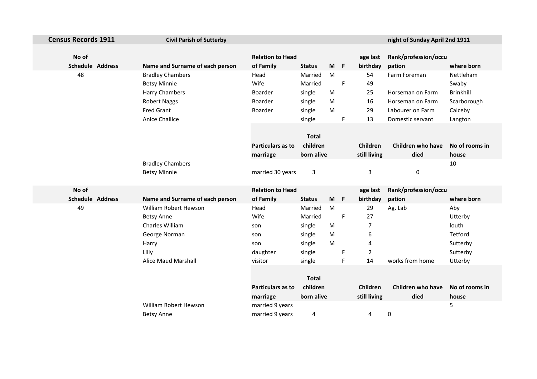| <b>Census Records 1911</b> | <b>Civil Parish of Sutterby</b> |                          |               |           |   |              | night of Sunday April 2nd 1911 |                  |
|----------------------------|---------------------------------|--------------------------|---------------|-----------|---|--------------|--------------------------------|------------------|
|                            |                                 |                          |               |           |   |              |                                |                  |
| No of                      |                                 | <b>Relation to Head</b>  |               |           |   | age last     | Rank/profession/occu           |                  |
| <b>Schedule Address</b>    | Name and Surname of each person | of Family                | <b>Status</b> | $M$ F     |   | birthday     | pation                         | where born       |
| 48                         | <b>Bradley Chambers</b>         | Head                     | Married       | M         |   | 54           | Farm Foreman                   | Nettleham        |
|                            | <b>Betsy Minnie</b>             | Wife                     | Married       |           | F | 49           |                                | Swaby            |
|                            | Harry Chambers                  | Boarder                  | single        | ${\sf M}$ |   | 25           | Horseman on Farm               | <b>Brinkhill</b> |
|                            | <b>Robert Naggs</b>             | Boarder                  | single        | ${\sf M}$ |   | 16           | Horseman on Farm               | Scarborough      |
|                            | <b>Fred Grant</b>               | Boarder                  | single        | M         |   | 29           | Labourer on Farm               | Calceby          |
|                            | <b>Anice Challice</b>           |                          | single        |           | F | 13           | Domestic servant               | Langton          |
|                            |                                 |                          |               |           |   |              |                                |                  |
|                            |                                 |                          | <b>Total</b>  |           |   |              |                                |                  |
|                            |                                 | <b>Particulars as to</b> | children      |           |   | Children     | Children who have              | No of rooms in   |
|                            |                                 | marriage                 | born alive    |           |   | still living | died                           | house            |
|                            | <b>Bradley Chambers</b>         |                          |               |           |   |              |                                | 10               |
|                            | <b>Betsy Minnie</b>             | married 30 years         | $\mathbf{3}$  |           |   | 3            | 0                              |                  |
|                            |                                 |                          |               |           |   |              |                                |                  |
| No of                      |                                 | <b>Relation to Head</b>  |               |           |   | age last     | Rank/profession/occu           |                  |
| <b>Schedule Address</b>    | Name and Surname of each person | of Family                | <b>Status</b> | $M$ F     |   | birthday     | pation                         | where born       |
| 49                         | William Robert Hewson           | Head                     | Married       | M         |   | 29           | Ag. Lab                        | Aby              |
|                            | <b>Betsy Anne</b>               | Wife                     | Married       |           | F | 27           |                                | Utterby          |
|                            | Charles William                 | son                      | single        | M         |   | 7            |                                | louth            |
|                            | George Norman                   | son                      | single        | M         |   | 6            |                                | Tetford          |
|                            | Harry                           | son                      | single        | ${\sf M}$ |   | 4            |                                | Sutterby         |
|                            | Lilly                           | daughter                 | single        |           | F | 2            |                                | Sutterby         |
|                            | <b>Alice Maud Marshall</b>      | visitor                  | single        |           | F | 14           | works from home                | Utterby          |
|                            |                                 |                          |               |           |   |              |                                |                  |
|                            |                                 | <b>Total</b>             |               |           |   |              |                                |                  |
|                            |                                 | Particulars as to        | children      |           |   | Children     | <b>Children who have</b>       | No of rooms in   |
|                            |                                 | marriage                 | born alive    |           |   | still living | died                           | house            |
|                            | William Robert Hewson           | married 9 years          |               |           |   |              |                                | 5                |
|                            | <b>Betsy Anne</b>               | married 9 years          | 4             |           |   | 4            | 0                              |                  |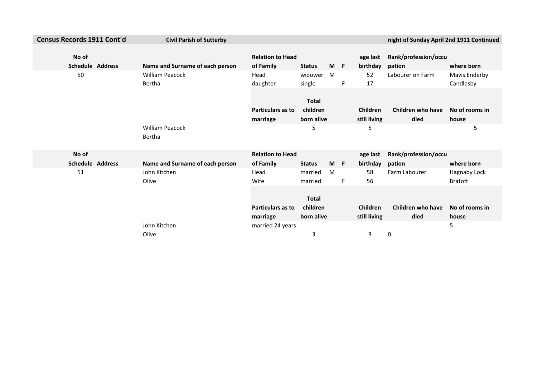| <b>Census Records 1911 Cont'd</b> | <b>Civil Parish of Sutterby</b>  |                                      |                                        |     |    |                                 | night of Sunday April 2nd 1911 Continued |                                |
|-----------------------------------|----------------------------------|--------------------------------------|----------------------------------------|-----|----|---------------------------------|------------------------------------------|--------------------------------|
| No of<br><b>Schedule Address</b>  | Name and Surname of each person  | <b>Relation to Head</b><br>of Family | <b>Status</b>                          | M F |    | age last<br>birthday            | Rank/profession/occu<br>pation           | where born                     |
| 50                                | <b>William Peacock</b><br>Bertha | Head<br>daughter                     | widower<br>single                      | M   | F  | 52<br>17                        | Labourer on Farm                         | Mavis Enderby<br>Candlesby     |
|                                   |                                  | <b>Particulars as to</b><br>marriage | <b>Total</b><br>children<br>born alive |     |    | <b>Children</b><br>still living | Children who have<br>died                | No of rooms in<br>house        |
|                                   | <b>William Peacock</b><br>Bertha |                                      | 5                                      |     |    | 5                               |                                          | 5                              |
| No of                             |                                  | <b>Relation to Head</b>              |                                        |     |    | age last                        | Rank/profession/occu                     |                                |
| <b>Schedule Address</b>           | Name and Surname of each person  | of Family                            | <b>Status</b>                          | M F |    | birthday                        | pation                                   | where born                     |
| 51                                | John Kitchen<br>Olive            | Head<br>Wife                         | married<br>married                     | M   | F. | 58<br>56                        | Farm Labourer                            | Hagnaby Lock<br><b>Bratoft</b> |
|                                   |                                  | <b>Particulars as to</b><br>marriage | <b>Total</b><br>children<br>born alive |     |    | <b>Children</b><br>still living | Children who have<br>died                | No of rooms in<br>house        |
|                                   | John Kitchen                     | married 24 years                     |                                        |     |    |                                 |                                          | 5                              |
|                                   | Olive                            |                                      | 3                                      |     |    | 3                               | 0                                        |                                |